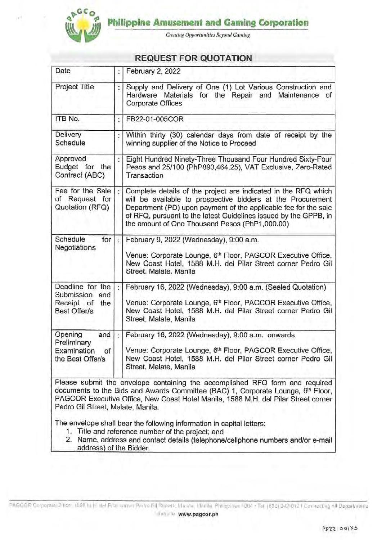

**Creating Opportunities Beyond Gaming** 

# **REQUEST FOR QUOTATION**

| Date                                                                       |    | February 2, 2022                                                                                                                                                                                                                                                                                                       |
|----------------------------------------------------------------------------|----|------------------------------------------------------------------------------------------------------------------------------------------------------------------------------------------------------------------------------------------------------------------------------------------------------------------------|
| Project Title                                                              |    | Supply and Delivery of One (1) Lot Various Construction and<br>Hardware Materials for the Repair and<br>Maintenance of<br>Corporate Offices                                                                                                                                                                            |
| ITB No.                                                                    |    | FB22-01-005COR                                                                                                                                                                                                                                                                                                         |
| Delivery<br>Schedule                                                       |    | Within thirty (30) calendar days from date of receipt by the<br>winning supplier of the Notice to Proceed                                                                                                                                                                                                              |
| Approved<br>Budget<br>for the<br>Contract (ABC)                            |    | Eight Hundred Ninety-Three Thousand Four Hundred Sixty-Four<br>Pesos and 25/100 (PhP893,464.25), VAT Exclusive, Zero-Rated<br>Transaction                                                                                                                                                                              |
| Fee for the Sale<br>of Request for<br>Quotation (RFQ)                      |    | Complete details of the project are indicated in the RFQ which<br>will be available to prospective bidders at the Procurement<br>Department (PD) upon payment of the applicable fee for the sale<br>of RFQ, pursuant to the latest Guidelines issued by the GPPB, in<br>the amount of One Thousand Pesos (PhP1,000.00) |
| Schedule<br>for<br>Negotiations                                            | ¢  | February 9, 2022 (Wednesday), 9:00 a.m.<br>Venue: Corporate Lounge, 6th Floor, PAGCOR Executive Office,<br>New Coast Hotel, 1588 M.H. del Pilar Street corner Pedro Gil<br>Street, Malate, Manila                                                                                                                      |
| Deadline for the<br>Submission<br>and<br>Receipt of<br>the<br>Best Offer/s | ÷  | February 16, 2022 (Wednesday), 9:00 a.m. (Sealed Quotation)<br>Venue: Corporate Lounge, 6 <sup>th</sup> Floor, PAGCOR Executive Office,<br>New Coast Hotel, 1588 M.H. del Pilar Street corner Pedro Gil<br>Street, Malate, Manila                                                                                      |
| Opening<br>and<br>Preliminary<br>Examination<br>of<br>the Best Offer/s     | ś. | February 16, 2022 (Wednesday), 9:00 a.m. onwards<br>Venue: Corporate Lounge, 6 <sup>th</sup> Floor, PAGCOR Executive Office,<br>New Coast Hotel, 1588 M.H. del Pilar Street corner Pedro Gil<br>Street, Malate, Manila                                                                                                 |
| Pedro Gil Street, Malate, Manila.                                          |    | Please submit the envelope containing the accomplished RFQ form and required<br>documents to the Bids and Awards Committee (BAC) 1, Corporate Lounge, 6 <sup>th</sup> Floor,<br>PAGCOR Executive Office, New Coast Hotel Manila, 1588 M.H. del Pilar Street corner                                                     |
|                                                                            |    | The envelope shall bear the following information in capital letters:<br>1. Title and reference number of the project; and                                                                                                                                                                                             |

2. Name, address and contact details (telephone/cellphone numbers and/or e-mail address) of the Bidder.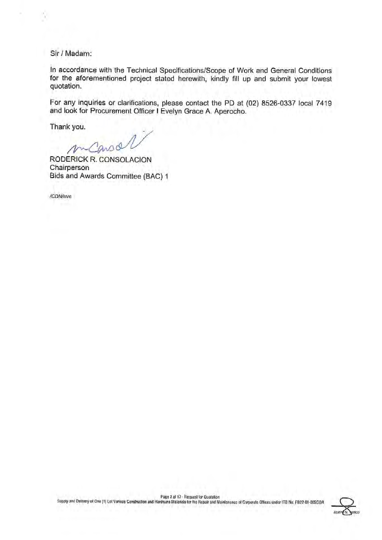Sir / Madam:

In accordance with the Technical Specifications/Scope of Work and General Conditions for the aforementioned project stated herewith, kindly fill up and submit your lowest quotation.

For any inquiries or clarifications, please contact the PD at (02) 8526-0337 local 7419 and look for Procurement Officer I Evelyn Grace A. Aperocho.

Thank you.

 $\sqrt{n}$ 

**RODERICK R. CONSOLACION** Chairperson Bids and Awards Committee (BAC) 1

/CDN/eve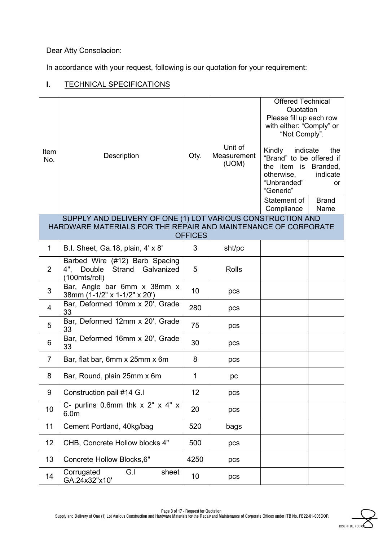Dear Atty Consolacion:

In accordance with your request, following is our quotation for your requirement:

## **I.** TECHNICAL SPECIFICATIONS

| Item<br>No.    | Description                                                                                                                   | Qty.           | Unit of<br>Measurement<br>(UOM) | <b>Offered Technical</b><br>Quotation<br>Please fill up each row<br>with either: "Comply" or<br>"Not Comply".<br>Kindly<br>indicate<br>"Brand" to be offered if<br>the item is Branded,<br>otherwise,<br>"Unbranded"<br>"Generic"<br>Statement of<br>Compliance | the<br>indicate<br>or<br><b>Brand</b><br>Name |
|----------------|-------------------------------------------------------------------------------------------------------------------------------|----------------|---------------------------------|-----------------------------------------------------------------------------------------------------------------------------------------------------------------------------------------------------------------------------------------------------------------|-----------------------------------------------|
|                | SUPPLY AND DELIVERY OF ONE (1) LOT VARIOUS CONSTRUCTION AND<br>HARDWARE MATERIALS FOR THE REPAIR AND MAINTENANCE OF CORPORATE |                |                                 |                                                                                                                                                                                                                                                                 |                                               |
|                |                                                                                                                               | <b>OFFICES</b> |                                 |                                                                                                                                                                                                                                                                 |                                               |
| $\mathbf 1$    | B.I. Sheet, Ga.18, plain, 4' x 8'                                                                                             | 3              | sht/pc                          |                                                                                                                                                                                                                                                                 |                                               |
| $\overline{2}$ | Barbed Wire (#12) Barb Spacing<br>Strand Galvanized<br>4", Double<br>(100mts/roll)                                            | 5              | <b>Rolls</b>                    |                                                                                                                                                                                                                                                                 |                                               |
| 3              | Bar, Angle bar 6mm x 38mm x<br>38mm (1-1/2" x 1-1/2" x 20')                                                                   | 10             | pcs                             |                                                                                                                                                                                                                                                                 |                                               |
| 4              | Bar, Deformed 10mm x 20', Grade<br>33                                                                                         | 280            | pcs                             |                                                                                                                                                                                                                                                                 |                                               |
| 5              | Bar, Deformed 12mm x 20', Grade<br>33                                                                                         | 75             | pcs                             |                                                                                                                                                                                                                                                                 |                                               |
| 6              | Bar, Deformed 16mm x 20', Grade<br>33                                                                                         | 30             | pcs                             |                                                                                                                                                                                                                                                                 |                                               |
| $\overline{7}$ | Bar, flat bar, 6mm x 25mm x 6m                                                                                                | 8              | pcs                             |                                                                                                                                                                                                                                                                 |                                               |
| 8              | Bar, Round, plain 25mm x 6m                                                                                                   | 1              | pc                              |                                                                                                                                                                                                                                                                 |                                               |
| 9              | Construction pail #14 G.I                                                                                                     | 12             | pcs                             |                                                                                                                                                                                                                                                                 |                                               |
| 10             | C- purlins 0.6mm thk $x$ 2" $x$ 4" $x$<br>6.0 <sub>m</sub>                                                                    | 20             | pcs                             |                                                                                                                                                                                                                                                                 |                                               |
| 11             | Cement Portland, 40kg/bag                                                                                                     | 520            | bags                            |                                                                                                                                                                                                                                                                 |                                               |
| 12             | CHB, Concrete Hollow blocks 4"                                                                                                | 500            | pcs                             |                                                                                                                                                                                                                                                                 |                                               |
| 13             | Concrete Hollow Blocks, 6"                                                                                                    | 4250           | pcs                             |                                                                                                                                                                                                                                                                 |                                               |
| 14             | G.I<br>Corrugated<br>sheet<br>GA.24x32"x10'                                                                                   | 10             | pcs                             |                                                                                                                                                                                                                                                                 |                                               |

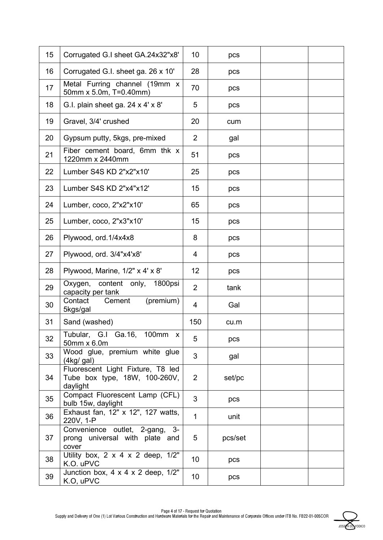| 15 | Corrugated G.I sheet GA.24x32"x8'                                              | 10              | pcs     |  |
|----|--------------------------------------------------------------------------------|-----------------|---------|--|
| 16 | Corrugated G.I. sheet ga. 26 x 10'                                             | 28              | pcs     |  |
| 17 | Metal Furring channel (19mm x<br>50mm x 5.0m, T=0.40mm)                        | 70              | pcs     |  |
| 18 | G.I. plain sheet ga. 24 x 4' x 8'                                              | 5               | pcs     |  |
| 19 | Gravel, 3/4' crushed                                                           | 20              | cum     |  |
| 20 | Gypsum putty, 5kgs, pre-mixed                                                  | $\overline{2}$  | gal     |  |
| 21 | Fiber cement board, 6mm thk x<br>1220mm x 2440mm                               | 51              | pcs     |  |
| 22 | Lumber S4S KD 2"x2"x10"                                                        | 25              | pcs     |  |
| 23 | Lumber S4S KD 2"x4"x12"                                                        | 15              | pcs     |  |
| 24 | Lumber, coco, 2"x2"x10"                                                        | 65              | pcs     |  |
| 25 | Lumber, coco, 2"x3"x10'                                                        | 15              | pcs     |  |
| 26 | Plywood, ord.1/4x4x8                                                           | 8               | pcs     |  |
| 27 | Plywood, ord. 3/4"x4'x8'                                                       | 4               | pcs     |  |
| 28 | Plywood, Marine, 1/2" x 4' x 8'                                                | 12              | pcs     |  |
| 29 | Oxygen, content only, 1800psi<br>capacity per tank                             | $\overline{2}$  | tank    |  |
| 30 | Contact<br>(premium)<br>Cement<br>5kgs/gal                                     | 4               | Gal     |  |
| 31 | Sand (washed)                                                                  | 150             | cu.m    |  |
| 32 | Tubular, G.I Ga.16, 100mm x<br>50mm x 6.0m                                     | 5               | pcs     |  |
| 33 | Wood glue, premium white glue<br>(4kg/gal)                                     | 3               | gal     |  |
| 34 | Fluorescent Light Fixture, T8 led<br>Tube box type, 18W, 100-260V,<br>daylight | $\mathbf{2}$    | set/pc  |  |
| 35 | Compact Fluorescent Lamp (CFL)<br>bulb 15w, daylight                           | 3               | pcs     |  |
| 36 | Exhaust fan, 12" x 12", 127 watts,<br>220V, 1-P                                | $\mathbf{1}$    | unit    |  |
| 37 | Convenience outlet, 2-gang, 3-<br>prong universal with plate and<br>cover      | 5               | pcs/set |  |
| 38 | Utility box, $2 \times 4 \times 2$ deep, $1/2$ "<br>K.O. uPVC                  | 10              | pcs     |  |
| 39 | Junction box, $4 \times 4 \times 2$ deep, $1/2$ "<br>K.O, uPVC                 | 10 <sup>°</sup> | pcs     |  |

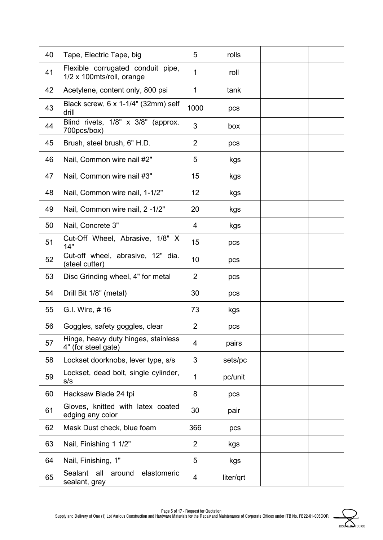| 40 | Tape, Electric Tape, big                                       | 5              | rolls     |  |
|----|----------------------------------------------------------------|----------------|-----------|--|
| 41 | Flexible corrugated conduit pipe,<br>1/2 x 100mts/roll, orange | 1              | roll      |  |
| 42 | Acetylene, content only, 800 psi                               | 1              | tank      |  |
| 43 | Black screw, 6 x 1-1/4" (32mm) self<br>drill                   | 1000           | pcs       |  |
| 44 | Blind rivets, 1/8" x 3/8" (approx.<br>700pcs/box)              | 3              | box       |  |
| 45 | Brush, steel brush, 6" H.D.                                    | $\overline{2}$ | pcs       |  |
| 46 | Nail, Common wire nail #2"                                     | 5              | kgs       |  |
| 47 | Nail, Common wire nail #3"                                     | 15             | kgs       |  |
| 48 | Nail, Common wire nail, 1-1/2"                                 | 12             | kgs       |  |
| 49 | Nail, Common wire nail, 2 -1/2"                                | 20             | kgs       |  |
| 50 | Nail, Concrete 3"                                              | 4              | kgs       |  |
| 51 | Cut-Off Wheel, Abrasive, 1/8" X<br>14"                         | 15             | pcs       |  |
| 52 | Cut-off wheel, abrasive, 12" dia.<br>(steel cutter)            | 10             | pcs       |  |
| 53 | Disc Grinding wheel, 4" for metal                              | $\overline{2}$ | pcs       |  |
| 54 | Drill Bit 1/8" (metal)                                         | 30             | pcs       |  |
| 55 | G.I. Wire, #16                                                 | 73             | kgs       |  |
| 56 | Goggles, safety goggles, clear                                 | $\overline{2}$ | pcs       |  |
| 57 | Hinge, heavy duty hinges, stainless<br>4" (for steel gate)     | 4              | pairs     |  |
| 58 | Lockset doorknobs, lever type, s/s                             | 3              | sets/pc   |  |
| 59 | Lockset, dead bolt, single cylinder,<br>s/s                    | 1              | pc/unit   |  |
| 60 | Hacksaw Blade 24 tpi                                           | 8              | pcs       |  |
| 61 | Gloves, knitted with latex coated<br>edging any color          | 30             | pair      |  |
| 62 | Mask Dust check, blue foam                                     | 366            | pcs       |  |
| 63 | Nail, Finishing 1 1/2"                                         | 2              | kgs       |  |
| 64 | Nail, Finishing, 1"                                            | 5              | kgs       |  |
| 65 | Sealant<br>all<br>around<br>elastomeric<br>sealant, gray       | 4              | liter/qrt |  |

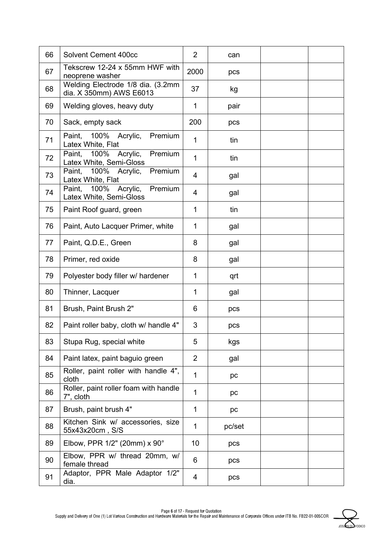| 66 | Solvent Cement 400cc                                             | $\overline{2}$ | can    |  |
|----|------------------------------------------------------------------|----------------|--------|--|
| 67 | Tekscrew 12-24 x 55mm HWF with<br>neoprene washer                | 2000           | pcs    |  |
| 68 | Welding Electrode 1/8 dia. (3.2mm<br>dia. X 350mm) AWS E6013     | 37             | kg     |  |
| 69 | Welding gloves, heavy duty                                       | 1              | pair   |  |
| 70 | Sack, empty sack                                                 | 200            | pcs    |  |
| 71 | Premium<br>Paint,<br>100%<br>Acrylic,<br>Latex White, Flat       | 1              | tin    |  |
| 72 | Acrylic,<br>100%<br>Premium<br>Paint,<br>Latex White, Semi-Gloss | 1              | tin    |  |
| 73 | 100%<br>Premium<br>Paint,<br>Acrylic,<br>Latex White, Flat       | 4              | gal    |  |
| 74 | 100%<br>Acrylic,<br>Premium<br>Paint,<br>Latex White, Semi-Gloss | $\overline{4}$ | gal    |  |
| 75 | Paint Roof guard, green                                          | 1              | tin    |  |
| 76 | Paint, Auto Lacquer Primer, white                                | 1              | gal    |  |
| 77 | Paint, Q.D.E., Green                                             | 8              | gal    |  |
| 78 | Primer, red oxide                                                | 8              | gal    |  |
| 79 | Polyester body filler w/ hardener                                | 1              | qrt    |  |
| 80 | Thinner, Lacquer                                                 | 1              | gal    |  |
| 81 | Brush, Paint Brush 2"                                            | 6              | pcs    |  |
| 82 | Paint roller baby, cloth w/ handle 4"                            | 3              | pcs    |  |
| 83 | Stupa Rug, special white                                         | 5              | kgs    |  |
| 84 | Paint latex, paint baguio green                                  | $\overline{2}$ | gal    |  |
| 85 | Roller, paint roller with handle 4",<br>cloth                    | 1              | pc     |  |
| 86 | Roller, paint roller foam with handle<br>7", cloth               | 1              | pc     |  |
| 87 | Brush, paint brush 4"                                            | 1              | pc     |  |
| 88 | Kitchen Sink w/ accessories, size<br>55x43x20cm, S/S             | 1              | pc/set |  |
| 89 | Elbow, PPR 1/2" (20mm) x 90°                                     | 10             | pcs    |  |
| 90 | Elbow, PPR w/ thread 20mm, w/<br>female thread                   | 6              | pcs    |  |
| 91 | Adaptor, PPR Male Adaptor 1/2"<br>dia.                           | 4              | pcs    |  |

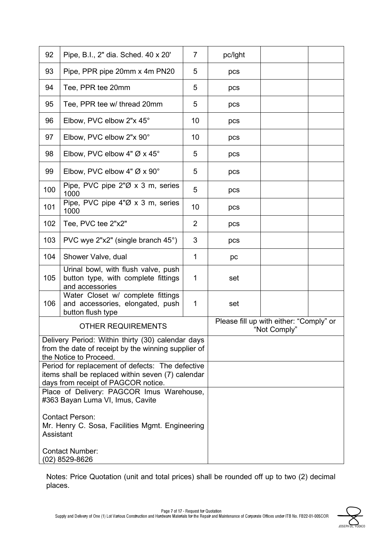| 92                                                                                                                                                                                                                                                                                                                                                                                                                                                            | Pipe, B.I., 2" dia. Sched. 40 x 20'                                                           | $\overline{7}$ | pc/lght                                                 |  |  |
|---------------------------------------------------------------------------------------------------------------------------------------------------------------------------------------------------------------------------------------------------------------------------------------------------------------------------------------------------------------------------------------------------------------------------------------------------------------|-----------------------------------------------------------------------------------------------|----------------|---------------------------------------------------------|--|--|
| 93                                                                                                                                                                                                                                                                                                                                                                                                                                                            | Pipe, PPR pipe 20mm x 4m PN20                                                                 | 5              | pcs                                                     |  |  |
| 94                                                                                                                                                                                                                                                                                                                                                                                                                                                            | Tee, PPR tee 20mm                                                                             | 5              | pcs                                                     |  |  |
| 95                                                                                                                                                                                                                                                                                                                                                                                                                                                            | Tee, PPR tee w/ thread 20mm                                                                   | 5              | pcs                                                     |  |  |
| 96                                                                                                                                                                                                                                                                                                                                                                                                                                                            | Elbow, PVC elbow 2"x 45°                                                                      | 10             | pcs                                                     |  |  |
| 97                                                                                                                                                                                                                                                                                                                                                                                                                                                            | Elbow, PVC elbow 2"x 90°                                                                      | 10             | pcs                                                     |  |  |
| 98                                                                                                                                                                                                                                                                                                                                                                                                                                                            | Elbow, PVC elbow 4" $\varnothing$ x 45°                                                       | 5              | pcs                                                     |  |  |
| 99                                                                                                                                                                                                                                                                                                                                                                                                                                                            | Elbow, PVC elbow 4" $\varnothing$ x 90°                                                       | 5              | pcs                                                     |  |  |
| 100                                                                                                                                                                                                                                                                                                                                                                                                                                                           | Pipe, PVC pipe $2\% \times 3$ m, series<br>1000                                               | 5              | pcs                                                     |  |  |
| 101                                                                                                                                                                                                                                                                                                                                                                                                                                                           | Pipe, PVC pipe 4"Ø x 3 m, series<br>1000                                                      | 10             | pcs                                                     |  |  |
| 102                                                                                                                                                                                                                                                                                                                                                                                                                                                           | Tee, PVC tee 2"x2"                                                                            | $\overline{2}$ | pcs                                                     |  |  |
| 103                                                                                                                                                                                                                                                                                                                                                                                                                                                           | PVC wye 2"x2" (single branch 45°)                                                             | 3              | pcs                                                     |  |  |
| 104                                                                                                                                                                                                                                                                                                                                                                                                                                                           | Shower Valve, dual                                                                            | 1              | pc                                                      |  |  |
| 105                                                                                                                                                                                                                                                                                                                                                                                                                                                           | Urinal bowl, with flush valve, push<br>button type, with complete fittings<br>and accessories | 1              | set                                                     |  |  |
| 106                                                                                                                                                                                                                                                                                                                                                                                                                                                           | Water Closet w/ complete fittings<br>and accessories, elongated, push<br>button flush type    | 1              | set                                                     |  |  |
|                                                                                                                                                                                                                                                                                                                                                                                                                                                               | <b>OTHER REQUIREMENTS</b>                                                                     |                | Please fill up with either: "Comply" or<br>"Not Comply" |  |  |
| Delivery Period: Within thirty (30) calendar days<br>from the date of receipt by the winning supplier of<br>the Notice to Proceed.<br>Period for replacement of defects: The defective<br>items shall be replaced within seven (7) calendar<br>days from receipt of PAGCOR notice.<br>Place of Delivery: PAGCOR Imus Warehouse,<br>#363 Bayan Luma VI, Imus, Cavite<br><b>Contact Person:</b><br>Mr. Henry C. Sosa, Facilities Mgmt. Engineering<br>Assistant |                                                                                               |                |                                                         |  |  |
|                                                                                                                                                                                                                                                                                                                                                                                                                                                               | <b>Contact Number:</b><br>(02) 8529-8626                                                      |                |                                                         |  |  |

Notes: Price Quotation (unit and total prices) shall be rounded off up to two (2) decimal places.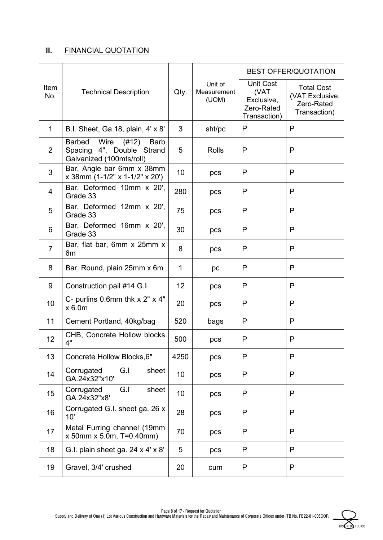## **II.** FINANCIAL QUOTATION

|             |                                                                                                        |      |                                 |                                                                      | <b>BEST OFFER/QUOTATION</b>                                        |
|-------------|--------------------------------------------------------------------------------------------------------|------|---------------------------------|----------------------------------------------------------------------|--------------------------------------------------------------------|
| Item<br>No. | <b>Technical Description</b>                                                                           | Qty. | Unit of<br>Measurement<br>(UOM) | <b>Unit Cost</b><br>(VAT<br>Exclusive,<br>Zero-Rated<br>Transaction) | <b>Total Cost</b><br>(VAT Exclusive,<br>Zero-Rated<br>Transaction) |
| $\mathbf 1$ | B.I. Sheet, Ga.18, plain, 4' x 8'                                                                      | 3    | sht/pc                          | P                                                                    | P                                                                  |
| 2           | Wire<br><b>Barbed</b><br>(#12)<br><b>Barb</b><br>Spacing 4", Double Strand<br>Galvanized (100mts/roll) | 5    | <b>Rolls</b>                    | P                                                                    | P                                                                  |
| 3           | Bar, Angle bar 6mm x 38mm<br>x 38mm (1-1/2" x 1-1/2" x 20")                                            | 10   | pcs                             | P                                                                    | P                                                                  |
| 4           | Bar, Deformed 10mm x 20',<br>Grade 33                                                                  | 280  | pcs                             | P                                                                    | P                                                                  |
| 5           | Bar, Deformed 12mm x 20',<br>Grade 33                                                                  | 75   | pcs                             | P                                                                    | P                                                                  |
| 6           | Bar, Deformed 16mm x 20',<br>Grade 33                                                                  | 30   | pcs                             | P                                                                    | P                                                                  |
| 7           | Bar, flat bar, 6mm x 25mm x<br>6m                                                                      | 8    | pcs                             | P                                                                    | P                                                                  |
| 8           | Bar, Round, plain 25mm x 6m                                                                            | 1    | pc                              | P                                                                    | P                                                                  |
| 9           | Construction pail #14 G.I                                                                              | 12   | pcs                             | P                                                                    | P                                                                  |
| 10          | C- purlins 0.6mm thk $x$ 2" $x$ 4"<br>x 6.0m                                                           | 20   | pcs                             | P                                                                    | P                                                                  |
| 11          | Cement Portland, 40kg/bag                                                                              | 520  | bags                            | P                                                                    | P                                                                  |
| 12          | CHB, Concrete Hollow blocks<br>4"                                                                      | 500  | pcs                             | P                                                                    | P                                                                  |
| 13          | Concrete Hollow Blocks, 6"                                                                             | 4250 | pcs                             | P                                                                    | P                                                                  |
| 14          | Corrugated<br>G.I<br>sheet<br>GA.24x32"x10'                                                            | 10   | pcs                             | P                                                                    | P                                                                  |
| 15          | Corrugated<br>G.I<br>sheet<br>GA.24x32"x8'                                                             | 10   | pcs                             | P                                                                    | P                                                                  |
| 16          | Corrugated G.I. sheet ga. 26 x<br>10'                                                                  | 28   | pcs                             | P                                                                    | P                                                                  |
| 17          | Metal Furring channel (19mm<br>$x$ 50mm $x$ 5.0m, T=0.40mm)                                            | 70   | pcs                             | P                                                                    | P                                                                  |
| 18          | G.I. plain sheet ga. 24 x 4' x 8'                                                                      | 5    | pcs                             | P                                                                    | P                                                                  |
| 19          | Gravel, 3/4' crushed                                                                                   | 20   | cum                             | P                                                                    | P                                                                  |

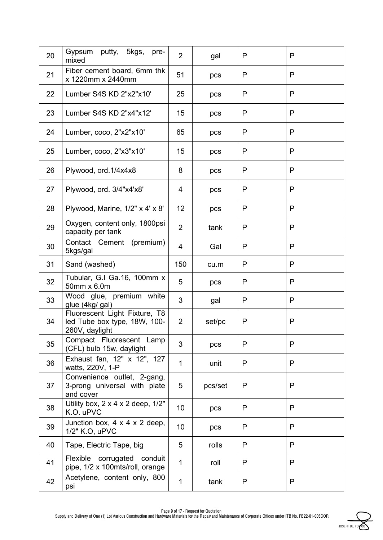| 20 | Gypsum<br>putty, 5kgs,<br>pre-<br>mixed                                         | $\overline{2}$  | gal     | P | P |
|----|---------------------------------------------------------------------------------|-----------------|---------|---|---|
| 21 | Fiber cement board, 6mm thk<br>x 1220mm x 2440mm                                | 51              | pcs     | P | P |
| 22 | Lumber S4S KD 2"x2"x10"                                                         | 25              | pcs     | P | P |
| 23 | Lumber S4S KD 2"x4"x12"                                                         | 15              | pcs     | P | P |
| 24 | Lumber, coco, 2"x2"x10'                                                         | 65              | pcs     | P | P |
| 25 | Lumber, coco, 2"x3"x10'                                                         | 15              | pcs     | P | P |
| 26 | Plywood, ord.1/4x4x8                                                            | 8               | pcs     | P | P |
| 27 | Plywood, ord. 3/4"x4'x8'                                                        | 4               | pcs     | P | P |
| 28 | Plywood, Marine, 1/2" x 4' x 8'                                                 | 12              | pcs     | P | P |
| 29 | Oxygen, content only, 1800psi<br>capacity per tank                              | $\overline{2}$  | tank    | P | P |
| 30 | Contact Cement (premium)<br>5kgs/gal                                            | 4               | Gal     | P | P |
| 31 | Sand (washed)                                                                   | 150             | cu.m    | P | P |
| 32 | Tubular, G.I Ga.16, 100mm x<br>50mm x 6.0m                                      | 5               | pcs     | P | P |
| 33 | Wood glue, premium white<br>glue (4kg/ gal)                                     | 3               | gal     | P | P |
| 34 | Fluorescent Light Fixture, T8<br>led Tube box type, 18W, 100-<br>260V, daylight | 2               | set/pc  | Ρ | P |
| 35 | Compact Fluorescent Lamp<br>(CFL) bulb 15w, daylight                            | 3               | pcs     | P | P |
| 36 | Exhaust fan, 12" x 12", 127<br>watts, 220V, 1-P                                 | 1               | unit    | P | P |
| 37 | Convenience outlet, 2-gang,<br>3-prong universal with plate<br>and cover        | 5               | pcs/set | P | P |
| 38 | Utility box, $2 \times 4 \times 2$ deep, $1/2"$<br>K.O. uPVC                    | 10 <sup>°</sup> | pcs     | P | P |
| 39 | Junction box, $4 \times 4 \times 2$ deep,<br>1/2" K.O, uPVC                     | 10              | pcs     | P | P |
| 40 | Tape, Electric Tape, big                                                        | 5               | rolls   | P | P |
| 41 | Flexible<br>corrugated<br>conduit<br>pipe, 1/2 x 100mts/roll, orange            | $\mathbf{1}$    | roll    | P | P |
| 42 | Acetylene, content only, 800<br>psi                                             | 1               | tank    | P | P |

Page 9 of 17 - Request for Quotation

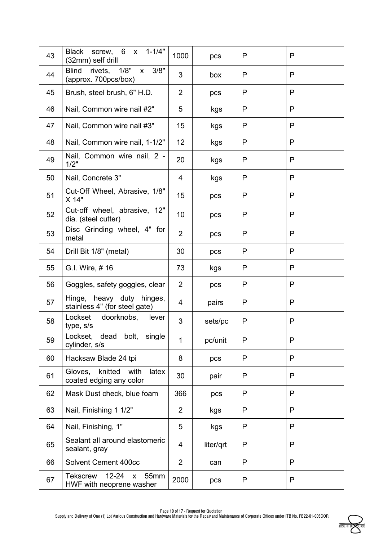| 43 | screw, 6 x 1-1/4"<br><b>Black</b><br>(32mm) self drill                           | 1000           | pcs       | P | P |
|----|----------------------------------------------------------------------------------|----------------|-----------|---|---|
| 44 | 1/8"<br>3/8"<br><b>Blind</b><br>rivets,<br>$\mathsf{X}$<br>(approx. 700pcs/box)  | 3              | box       | P | P |
| 45 | Brush, steel brush, 6" H.D.                                                      | $\overline{2}$ | pcs       | P | P |
| 46 | Nail, Common wire nail #2"                                                       | 5              | kgs       | P | P |
| 47 | Nail, Common wire nail #3"                                                       | 15             | kgs       | P | P |
| 48 | Nail, Common wire nail, 1-1/2"                                                   | 12             | kgs       | P | P |
| 49 | Nail, Common wire nail, 2 -<br>1/2"                                              | 20             | kgs       | P | P |
| 50 | Nail, Concrete 3"                                                                | 4              | kgs       | P | P |
| 51 | Cut-Off Wheel, Abrasive, 1/8"<br>X 14"                                           | 15             | pcs       | P | P |
| 52 | Cut-off wheel, abrasive, 12"<br>dia. (steel cutter)                              | 10             | pcs       | P | P |
| 53 | Disc Grinding wheel, 4" for<br>metal                                             | $\overline{2}$ | pcs       | P | P |
| 54 | Drill Bit 1/8" (metal)                                                           | 30             | pcs       | P | P |
| 55 | G.I. Wire, #16                                                                   | 73             | kgs       | P | P |
| 56 | Goggles, safety goggles, clear                                                   | 2              | pcs       | P | P |
| 57 | Hinge, heavy duty hinges,<br>stainless 4" (for steel gate)                       | 4              | pairs     | P | P |
| 58 | Lockset<br>doorknobs,<br>lever<br>type, s/s                                      | 3              | sets/pc   | P | P |
| 59 | bolt,<br>single<br>Lockset,<br>dead<br>cylinder, s/s                             | 1              | pc/unit   | P | P |
| 60 | Hacksaw Blade 24 tpi                                                             | 8              | pcs       | P | P |
| 61 | knitted<br>Gloves,<br>with<br>latex<br>coated edging any color                   | 30             | pair      | P | P |
| 62 | Mask Dust check, blue foam                                                       | 366            | pcs       | P | P |
| 63 | Nail, Finishing 1 1/2"                                                           | $\overline{2}$ | kgs       | P | P |
| 64 | Nail, Finishing, 1"                                                              | 5              | kgs       | P | P |
| 65 | Sealant all around elastomeric<br>sealant, gray                                  | 4              | liter/qrt | P | P |
| 66 | Solvent Cement 400cc                                                             | $\overline{2}$ | can       | P | P |
| 67 | $12 - 24$<br>55mm<br><b>Tekscrew</b><br>$\mathsf{x}$<br>HWF with neoprene washer | 2000           | pcs       | P | P |

Page 10 of 17 - Request for Quotation

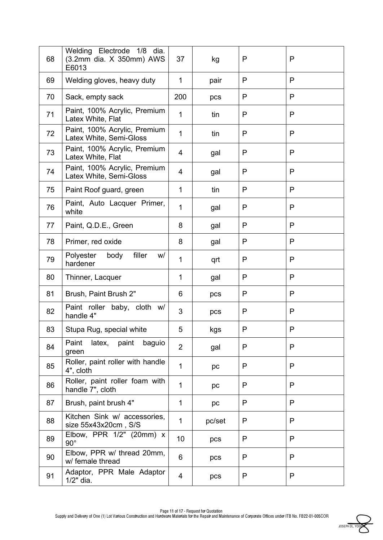| 68 | Welding Electrode 1/8<br>dia.<br>(3.2mm dia. X 350mm) AWS<br>E6013 | 37             | kg     | P | P |
|----|--------------------------------------------------------------------|----------------|--------|---|---|
| 69 | Welding gloves, heavy duty                                         | $\mathbf{1}$   | pair   | P | P |
| 70 | Sack, empty sack                                                   | 200            | pcs    | P | P |
| 71 | Paint, 100% Acrylic, Premium<br>Latex White, Flat                  | 1              | tin    | P | P |
| 72 | Paint, 100% Acrylic, Premium<br>Latex White, Semi-Gloss            | $\mathbf{1}$   | tin    | P | P |
| 73 | Paint, 100% Acrylic, Premium<br>Latex White, Flat                  | 4              | gal    | P | P |
| 74 | Paint, 100% Acrylic, Premium<br>Latex White, Semi-Gloss            | 4              | gal    | P | P |
| 75 | Paint Roof guard, green                                            | 1              | tin    | P | P |
| 76 | Paint, Auto Lacquer Primer,<br>white                               | $\mathbf{1}$   | gal    | P | P |
| 77 | Paint, Q.D.E., Green                                               | 8              | gal    | P | P |
| 78 | Primer, red oxide                                                  | 8              | gal    | P | P |
| 79 | filler<br>Polyester<br>body<br>W/<br>hardener                      | $\mathbf 1$    | qrt    | P | P |
| 80 | Thinner, Lacquer                                                   | 1              | gal    | P | P |
| 81 | Brush, Paint Brush 2"                                              | 6              | pcs    | P | P |
| 82 | Paint roller baby, cloth w/<br>handle 4"                           | 3              | pcs    | P | P |
| 83 | Stupa Rug, special white                                           | 5              | kgs    | P | P |
| 84 | latex, paint<br>Paint<br>baguio<br>green                           | $\overline{2}$ | gal    | P | P |
| 85 | Roller, paint roller with handle<br>4", cloth                      | 1              | pc     | P | P |
| 86 | Roller, paint roller foam with<br>handle 7", cloth                 | 1              | pc     | P | P |
| 87 | Brush, paint brush 4"                                              | 1              | pc     | P | P |
| 88 | Kitchen Sink w/ accessories,<br>size 55x43x20cm, S/S               | 1              | pc/set | P | P |
| 89 | Elbow, PPR 1/2" (20mm) x<br>$90^{\circ}$                           | 10             | pcs    | P | P |
| 90 | Elbow, PPR w/ thread 20mm,<br>w/ female thread                     | 6              | pcs    | P | P |
| 91 | Adaptor, PPR Male Adaptor<br>$1/2"$ dia.                           | 4              | pcs    | P | P |

JOSEPH DL. YODI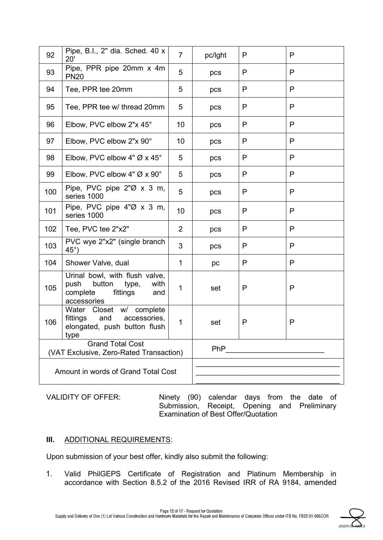| 92                                  | Pipe, B.I., 2" dia. Sched. 40 x<br>20'                                                                          | $\overline{7}$ | pc/lght    | P            | P |
|-------------------------------------|-----------------------------------------------------------------------------------------------------------------|----------------|------------|--------------|---|
| 93                                  | Pipe, PPR pipe 20mm x 4m<br><b>PN20</b>                                                                         | 5              | pcs        | P            | P |
| 94                                  | Tee, PPR tee 20mm                                                                                               | 5              | pcs        | P            | P |
| 95                                  | Tee, PPR tee w/ thread 20mm                                                                                     | 5              | pcs        | P            | P |
| 96                                  | Elbow, PVC elbow 2"x 45°                                                                                        | 10             | pcs        | P            | P |
| 97                                  | Elbow, PVC elbow 2"x 90°                                                                                        | 10             | pcs        | P            | P |
| 98                                  | Elbow, PVC elbow 4" $\varnothing$ x 45°                                                                         | 5              | pcs        | P            | P |
| 99                                  | Elbow, PVC elbow 4" $\varnothing$ x 90°                                                                         | 5              | pcs        | P            | P |
| 100                                 | Pipe, PVC pipe $2^{\prime\prime}\emptyset$ x 3 m,<br>series 1000                                                | 5              | pcs        | P            | P |
| 101                                 | Pipe, PVC pipe $4''\emptyset \times 3$ m,<br>series 1000                                                        | 10             | pcs        | $\mathsf{P}$ | P |
| 102                                 | Tee, PVC tee 2"x2"                                                                                              | 2              | pcs        | P            | P |
| 103                                 | PVC wye 2"x2" (single branch<br>$45^{\circ}$ )                                                                  | 3              | pcs        | P            | P |
| 104                                 | Shower Valve, dual                                                                                              | $\mathbf{1}$   | pc         | P            | P |
| 105                                 | Urinal bowl, with flush valve,<br>push<br>button<br>type,<br>with<br>complete<br>fittings<br>and<br>accessories | 1              | set        | P            | P |
| 106                                 | Water Closet w/ complete<br>fittings<br>and<br>accessories,<br>elongated, push button flush<br>type             | $\mathbf 1$    | set        | P            | P |
|                                     | <b>Grand Total Cost</b><br>(VAT Exclusive, Zero-Rated Transaction)                                              |                | <b>PhP</b> |              |   |
| Amount in words of Grand Total Cost |                                                                                                                 |                |            |              |   |

VALIDITY OF OFFER: Ninety (90) calendar days from the date of Submission, Receipt, Opening and Preliminary Examination of Best Offer/Quotation

## **III.** ADDITIONAL REQUIREMENTS:

Upon submission of your best offer, kindly also submit the following:

1. Valid PhilGEPS Certificate of Registration and Platinum Membership in accordance with Section 8.5.2 of the 2016 Revised IRR of RA 9184, amended

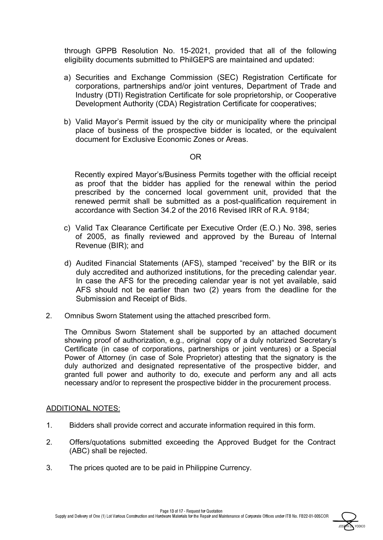through GPPB Resolution No. 15-2021, provided that all of the following eligibility documents submitted to PhilGEPS are maintained and updated:

- a) Securities and Exchange Commission (SEC) Registration Certificate for corporations, partnerships and/or joint ventures, Department of Trade and Industry (DTI) Registration Certificate for sole proprietorship, or Cooperative Development Authority (CDA) Registration Certificate for cooperatives;
- b) Valid Mayor's Permit issued by the city or municipality where the principal place of business of the prospective bidder is located, or the equivalent document for Exclusive Economic Zones or Areas.

#### OR

Recently expired Mayor's/Business Permits together with the official receipt as proof that the bidder has applied for the renewal within the period prescribed by the concerned local government unit, provided that the renewed permit shall be submitted as a post-qualification requirement in accordance with Section 34.2 of the 2016 Revised IRR of R.A. 9184;

- c) Valid Tax Clearance Certificate per Executive Order (E.O.) No. 398, series of 2005, as finally reviewed and approved by the Bureau of Internal Revenue (BIR); and
- d) Audited Financial Statements (AFS), stamped "received" by the BIR or its duly accredited and authorized institutions, for the preceding calendar year. In case the AFS for the preceding calendar year is not yet available, said AFS should not be earlier than two (2) years from the deadline for the Submission and Receipt of Bids.
- 2. Omnibus Sworn Statement using the attached prescribed form.

The Omnibus Sworn Statement shall be supported by an attached document showing proof of authorization, e.g., original copy of a duly notarized Secretary's Certificate (in case of corporations, partnerships or joint ventures) or a Special Power of Attorney (in case of Sole Proprietor) attesting that the signatory is the duly authorized and designated representative of the prospective bidder, and granted full power and authority to do, execute and perform any and all acts necessary and/or to represent the prospective bidder in the procurement process.

## ADDITIONAL NOTES:

- 1. Bidders shall provide correct and accurate information required in this form.
- 2. Offers/quotations submitted exceeding the Approved Budget for the Contract (ABC) shall be rejected.
- 3. The prices quoted are to be paid in Philippine Currency.

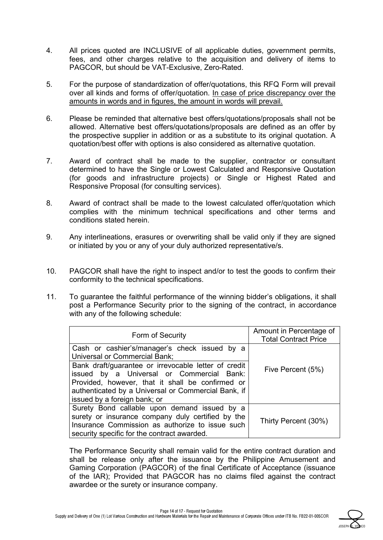- 4. All prices quoted are INCLUSIVE of all applicable duties, government permits, fees, and other charges relative to the acquisition and delivery of items to PAGCOR, but should be VAT-Exclusive, Zero-Rated.
- 5. For the purpose of standardization of offer/quotations, this RFQ Form will prevail over all kinds and forms of offer/quotation. In case of price discrepancy over the amounts in words and in figures, the amount in words will prevail.
- 6. Please be reminded that alternative best offers/quotations/proposals shall not be allowed. Alternative best offers/quotations/proposals are defined as an offer by the prospective supplier in addition or as a substitute to its original quotation. A quotation/best offer with options is also considered as alternative quotation.
- 7. Award of contract shall be made to the supplier, contractor or consultant determined to have the Single or Lowest Calculated and Responsive Quotation (for goods and infrastructure projects) or Single or Highest Rated and Responsive Proposal (for consulting services).
- 8. Award of contract shall be made to the lowest calculated offer/quotation which complies with the minimum technical specifications and other terms and conditions stated herein.
- 9. Any interlineations, erasures or overwriting shall be valid only if they are signed or initiated by you or any of your duly authorized representative/s.
- 10. PAGCOR shall have the right to inspect and/or to test the goods to confirm their conformity to the technical specifications.
- 11. To guarantee the faithful performance of the winning bidder's obligations, it shall post a Performance Security prior to the signing of the contract, in accordance with any of the following schedule:

| Form of Security                                                                                                                                                                                                                             | Amount in Percentage of<br><b>Total Contract Price</b> |
|----------------------------------------------------------------------------------------------------------------------------------------------------------------------------------------------------------------------------------------------|--------------------------------------------------------|
| Cash or cashier's/manager's check issued by a<br>Universal or Commercial Bank;                                                                                                                                                               |                                                        |
| Bank draft/guarantee or irrevocable letter of credit<br>issued by a Universal or Commercial Bank:<br>Provided, however, that it shall be confirmed or<br>authenticated by a Universal or Commercial Bank, if<br>issued by a foreign bank; or | Five Percent (5%)                                      |
| Surety Bond callable upon demand issued by a<br>surety or insurance company duly certified by the<br>Insurance Commission as authorize to issue such<br>security specific for the contract awarded.                                          | Thirty Percent (30%)                                   |

The Performance Security shall remain valid for the entire contract duration and shall be release only after the issuance by the Philippine Amusement and Gaming Corporation (PAGCOR) of the final Certificate of Acceptance (issuance of the IAR); Provided that PAGCOR has no claims filed against the contract awardee or the surety or insurance company.

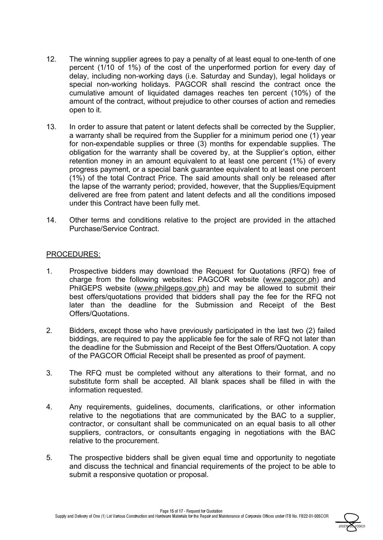- 12. The winning supplier agrees to pay a penalty of at least equal to one-tenth of one percent (1/10 of 1%) of the cost of the unperformed portion for every day of delay, including non-working days (i.e. Saturday and Sunday), legal holidays or special non-working holidays. PAGCOR shall rescind the contract once the cumulative amount of liquidated damages reaches ten percent (10%) of the amount of the contract, without prejudice to other courses of action and remedies open to it.
- 13. In order to assure that patent or latent defects shall be corrected by the Supplier, a warranty shall be required from the Supplier for a minimum period one (1) year for non-expendable supplies or three (3) months for expendable supplies. The obligation for the warranty shall be covered by, at the Supplier's option, either retention money in an amount equivalent to at least one percent (1%) of every progress payment, or a special bank guarantee equivalent to at least one percent (1%) of the total Contract Price. The said amounts shall only be released after the lapse of the warranty period; provided, however, that the Supplies/Equipment delivered are free from patent and latent defects and all the conditions imposed under this Contract have been fully met.
- 14. Other terms and conditions relative to the project are provided in the attached Purchase/Service Contract.

#### PROCEDURES:

- 1. Prospective bidders may download the Request for Quotations (RFQ) free of charge from the following websites: PAGCOR website (www.pagcor.ph) and PhilGEPS website (www.philgeps.gov.ph) and may be allowed to submit their best offers/quotations provided that bidders shall pay the fee for the RFQ not later than the deadline for the Submission and Receipt of the Best Offers/Quotations.
- 2. Bidders, except those who have previously participated in the last two (2) failed biddings, are required to pay the applicable fee for the sale of RFQ not later than the deadline for the Submission and Receipt of the Best Offers/Quotation. A copy of the PAGCOR Official Receipt shall be presented as proof of payment.
- 3. The RFQ must be completed without any alterations to their format, and no substitute form shall be accepted. All blank spaces shall be filled in with the information requested.
- 4. Any requirements, guidelines, documents, clarifications, or other information relative to the negotiations that are communicated by the BAC to a supplier, contractor, or consultant shall be communicated on an equal basis to all other suppliers, contractors, or consultants engaging in negotiations with the BAC relative to the procurement.
- 5. The prospective bidders shall be given equal time and opportunity to negotiate and discuss the technical and financial requirements of the project to be able to submit a responsive quotation or proposal.

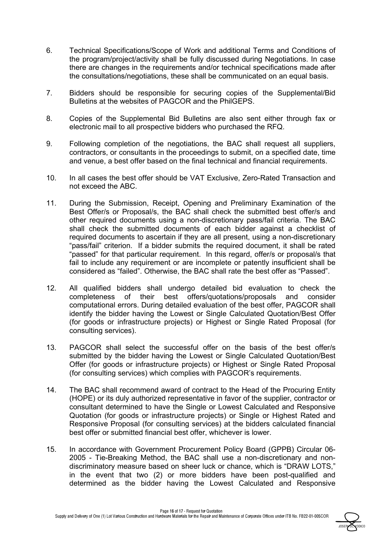- 6. Technical Specifications/Scope of Work and additional Terms and Conditions of the program/project/activity shall be fully discussed during Negotiations. In case there are changes in the requirements and/or technical specifications made after the consultations/negotiations, these shall be communicated on an equal basis.
- 7. Bidders should be responsible for securing copies of the Supplemental/Bid Bulletins at the websites of PAGCOR and the PhilGEPS.
- 8. Copies of the Supplemental Bid Bulletins are also sent either through fax or electronic mail to all prospective bidders who purchased the RFQ.
- 9. Following completion of the negotiations, the BAC shall request all suppliers, contractors, or consultants in the proceedings to submit, on a specified date, time and venue, a best offer based on the final technical and financial requirements.
- 10. In all cases the best offer should be VAT Exclusive, Zero-Rated Transaction and not exceed the ABC.
- 11. During the Submission, Receipt, Opening and Preliminary Examination of the Best Offer/s or Proposal/s, the BAC shall check the submitted best offer/s and other required documents using a non-discretionary pass/fail criteria. The BAC shall check the submitted documents of each bidder against a checklist of required documents to ascertain if they are all present, using a non-discretionary "pass/fail" criterion. If a bidder submits the required document, it shall be rated "passed" for that particular requirement. In this regard, offer/s or proposal/s that fail to include any requirement or are incomplete or patently insufficient shall be considered as "failed". Otherwise, the BAC shall rate the best offer as "Passed".
- 12. All qualified bidders shall undergo detailed bid evaluation to check the completeness of their best offers/quotations/proposals and consider computational errors. During detailed evaluation of the best offer, PAGCOR shall identify the bidder having the Lowest or Single Calculated Quotation/Best Offer (for goods or infrastructure projects) or Highest or Single Rated Proposal (for consulting services).
- 13. PAGCOR shall select the successful offer on the basis of the best offer/s submitted by the bidder having the Lowest or Single Calculated Quotation/Best Offer (for goods or infrastructure projects) or Highest or Single Rated Proposal (for consulting services) which complies with PAGCOR's requirements.
- 14. The BAC shall recommend award of contract to the Head of the Procuring Entity (HOPE) or its duly authorized representative in favor of the supplier, contractor or consultant determined to have the Single or Lowest Calculated and Responsive Quotation (for goods or infrastructure projects) or Single or Highest Rated and Responsive Proposal (for consulting services) at the bidders calculated financial best offer or submitted financial best offer, whichever is lower.
- 15. In accordance with Government Procurement Policy Board (GPPB) Circular 06- 2005 - Tie-Breaking Method, the BAC shall use a non-discretionary and nondiscriminatory measure based on sheer luck or chance, which is "DRAW LOTS," in the event that two (2) or more bidders have been post-qualified and determined as the bidder having the Lowest Calculated and Responsive